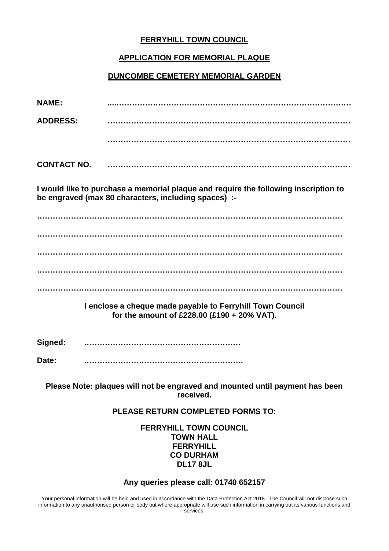## **FERRYHILL TOWN COUNCIL**

### **APPLICATION FOR MEMORIAL PLAQUE**

### **DUNCOMBE CEMETERY MEMORIAL GARDEN**

| <b>NAME:</b>                                                                                                                                |                                                                                                          |
|---------------------------------------------------------------------------------------------------------------------------------------------|----------------------------------------------------------------------------------------------------------|
| <b>ADDRESS:</b>                                                                                                                             |                                                                                                          |
|                                                                                                                                             |                                                                                                          |
| <b>CONTACT NO.</b>                                                                                                                          |                                                                                                          |
| I would like to purchase a memorial plaque and require the following inscription to<br>be engraved (max 80 characters, including spaces) :- |                                                                                                          |
|                                                                                                                                             |                                                                                                          |
|                                                                                                                                             |                                                                                                          |
|                                                                                                                                             |                                                                                                          |
|                                                                                                                                             |                                                                                                          |
|                                                                                                                                             | I enclose a cheque made payable to Ferryhill Town Council<br>for the amount of £228.00 (£190 + 20% VAT). |
| Signed:                                                                                                                                     |                                                                                                          |

**Date: …………………………………………………….**

**Please Note: plaques will not be engraved and mounted until payment has been received.**

#### **PLEASE RETURN COMPLETED FORMS TO:**

**FERRYHILL TOWN COUNCIL TOWN HALL FERRYHILL CO DURHAM DL17 8JL**

#### **Any queries please call: 01740 652157**

Your personal information will be held and used in accordance with the Data Protection Act 2018. The Council will not disclose such information to any unauthorised person or body but where appropriate will use such information in carrying out its various functions and services.